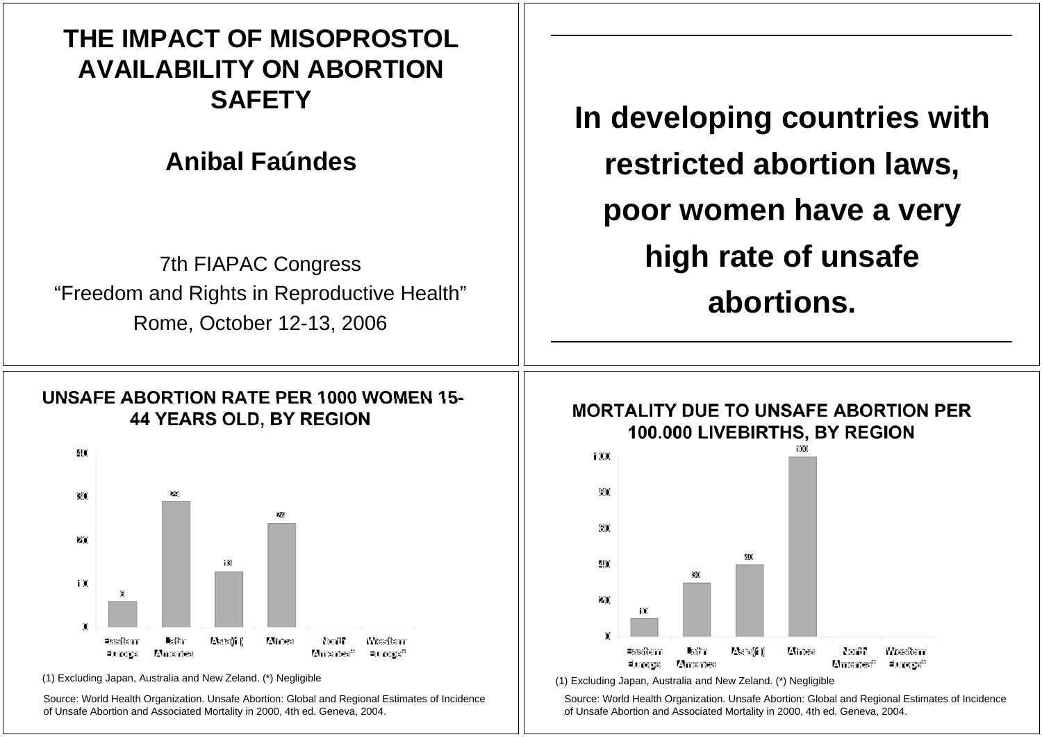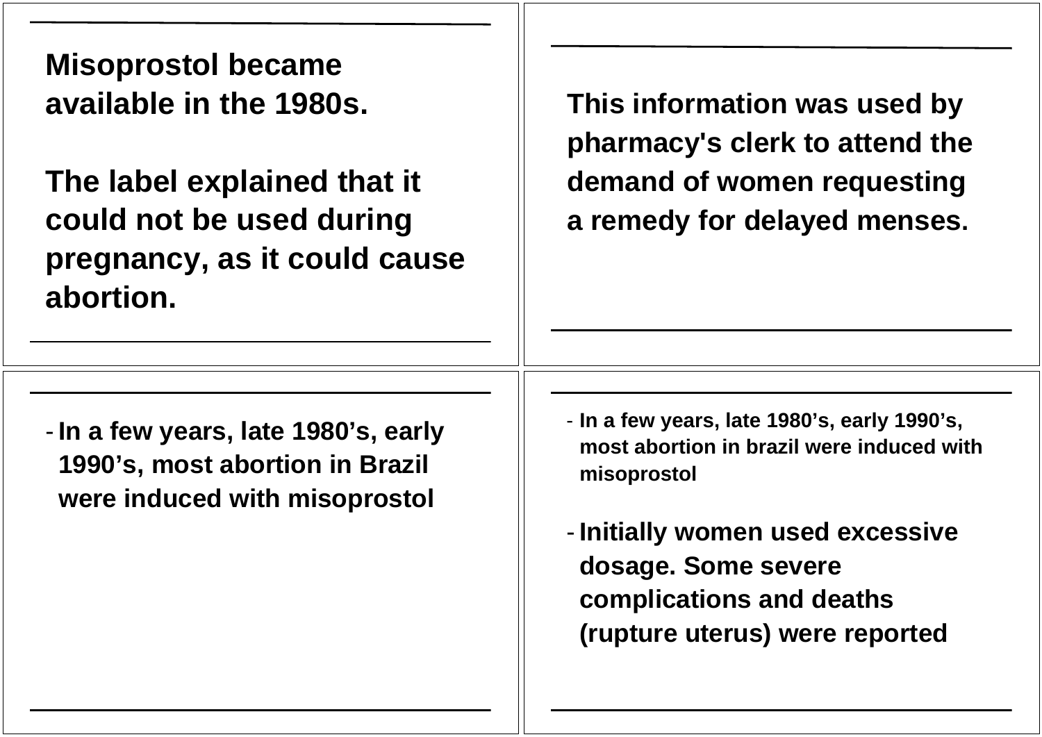**Misoprostol became available in the 1980s.**

**The label explained that it could not be used during pregnancy, as it could cause abortion.**

**This information was used by pharmacy's clerk to attend the demand of women requesting a remedy for delayed menses.**

- **In a few years, late 1980's, early 1990's, most abortion in Brazil were induced with misoprostol**

- **In a few years, late 1980's, early 1990's, most abortion in brazil were induced with misoprostol**
- - **Initially women used excessive dosage. Some severe complications and deaths (rupture uterus) were reported**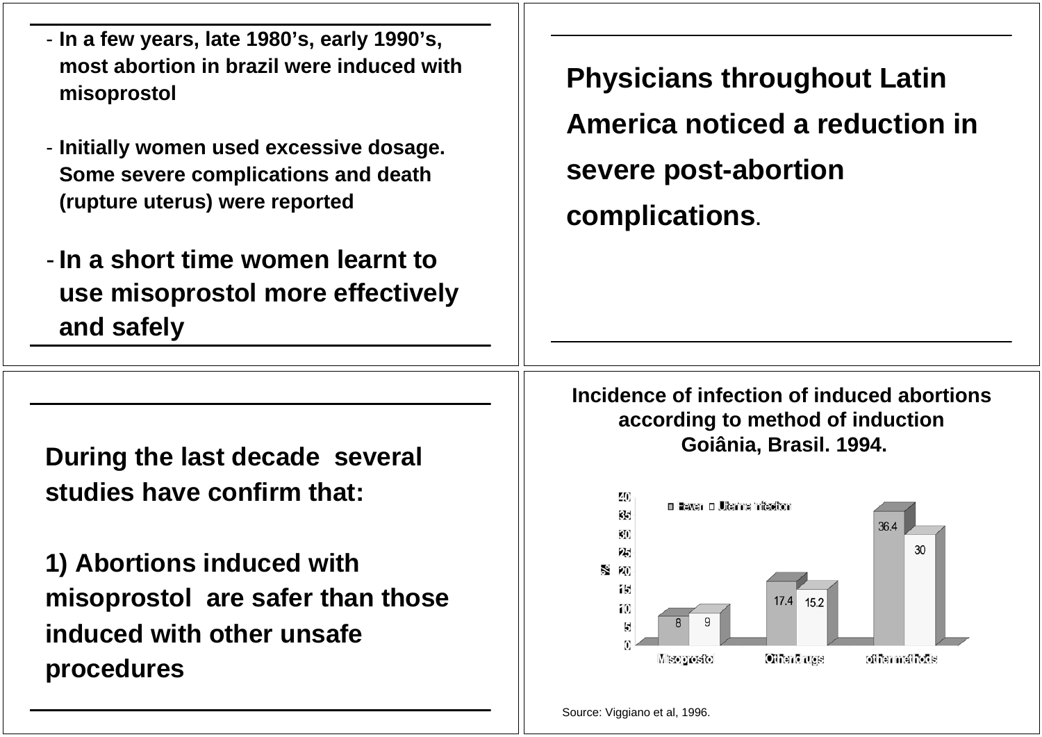- **In a few years, late 1980's, early 1990's, most abortion in brazil were induced with misoprostol**
- **Initially women used excessive dosage. Some severe complications and death (rupture uterus) were reported**
- **In a short time women learnt to use misoprostol more effectively and safely**

**Physicians throughout Latin America noticed a reduction in severe post-abortion complications.**

**During the last decade several studies have confirm that:**

**1) Abortions induced with misoprostol are safer than those induced with other unsafe procedures**

**Incidence of infection of induced abortions according to method of induction Goiânia, Brasil. 1994.**



Source: Viggiano et al, 1996.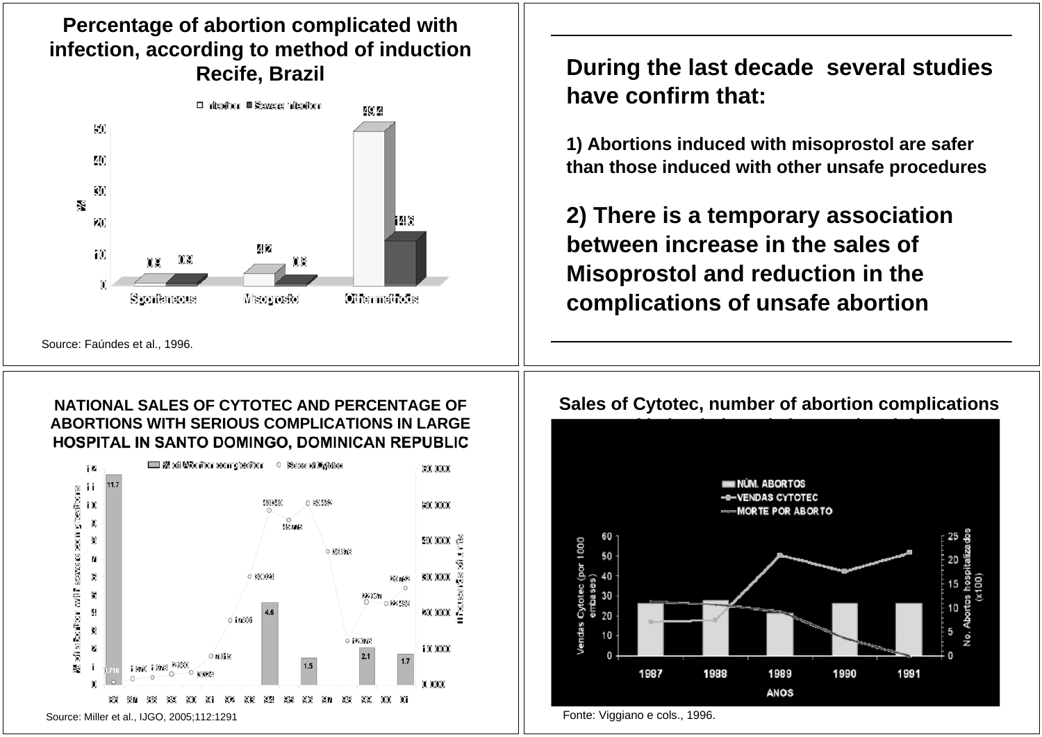#### **Percentage of abortion complicated with infection, according to method of induction Recife, Brazil**



Source: Faúndes et al., 1996.

#### **NATIONAL SALES OF CYTOTEC AND PERCENTAGE OF ABORTIONS WITH SERIOUS COMPLICATIONS IN LARGE HOSPITAL IN SANTO DOMINGO, DOMINICAN REPUBLIC**



#### **During the last decade several studies have confirm that:**

**1) Abortions induced with misoprostol are safer than those induced with other unsafe procedures**

**2) There is a temporary association between increase in the sales of Misoprostol and reduction in the complications of unsafe abortion**



#### **Sales of Cytotec, number of abortion complications**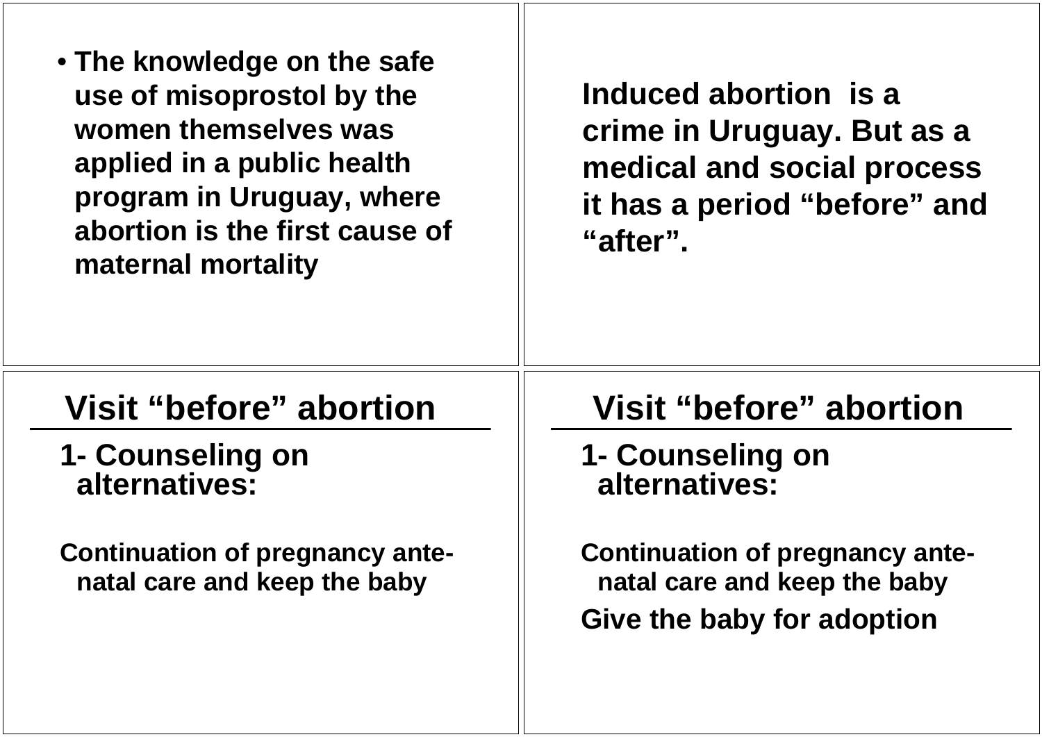| • The knowledge on the safe<br>use of misoprostol by the<br>women themselves was<br>applied in a public health<br>program in Uruguay, where<br>abortion is the first cause of<br>maternal mortality | Induced abortion is a<br>crime in Uruguay. But as a<br>medical and social process<br>it has a period "before" and<br>"after". |
|-----------------------------------------------------------------------------------------------------------------------------------------------------------------------------------------------------|-------------------------------------------------------------------------------------------------------------------------------|
| Visit "before" abortion                                                                                                                                                                             | Visit "before" abortion                                                                                                       |
| 1- Counseling on<br>alternatives:                                                                                                                                                                   | 1- Counseling on<br>alternatives:                                                                                             |
|                                                                                                                                                                                                     |                                                                                                                               |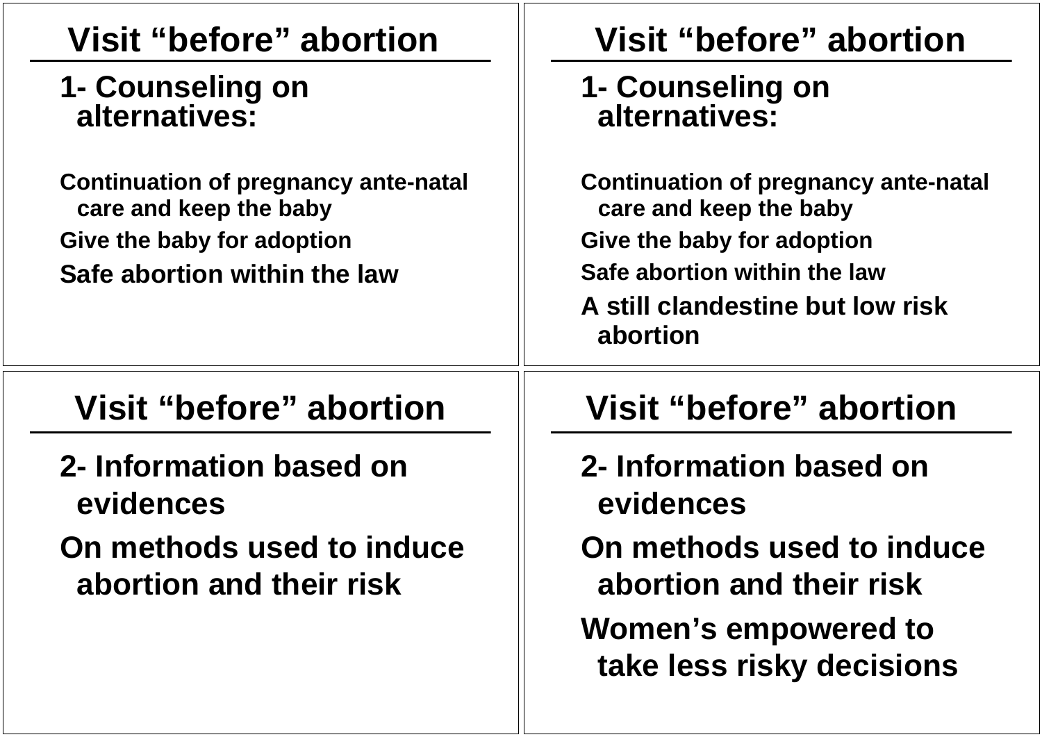| <b>Visit "before" abortion</b>                                        | Visit "before" abortion                                                                                   |
|-----------------------------------------------------------------------|-----------------------------------------------------------------------------------------------------------|
| 1- Counseling on<br>alternatives:                                     | 1- Counseling on<br>alternatives:                                                                         |
| <b>Continuation of pregnancy ante-natal</b><br>care and keep the baby | <b>Continuation of pregnancy ante-natal</b><br>care and keep the baby                                     |
| Give the baby for adoption                                            | Give the baby for adoption                                                                                |
| Safe abortion within the law                                          | Safe abortion within the law                                                                              |
|                                                                       | A still clandestine but low risk<br>abortion                                                              |
| Visit "before" abortion                                               | Visit "before" abortion                                                                                   |
| 2- Information based on<br>evidences                                  | 2- Information based on<br>evidences                                                                      |
| On methods used to induce<br>abortion and their risk                  | On methods used to induce<br>abortion and their risk<br>Women's empowered to<br>take less risky decisions |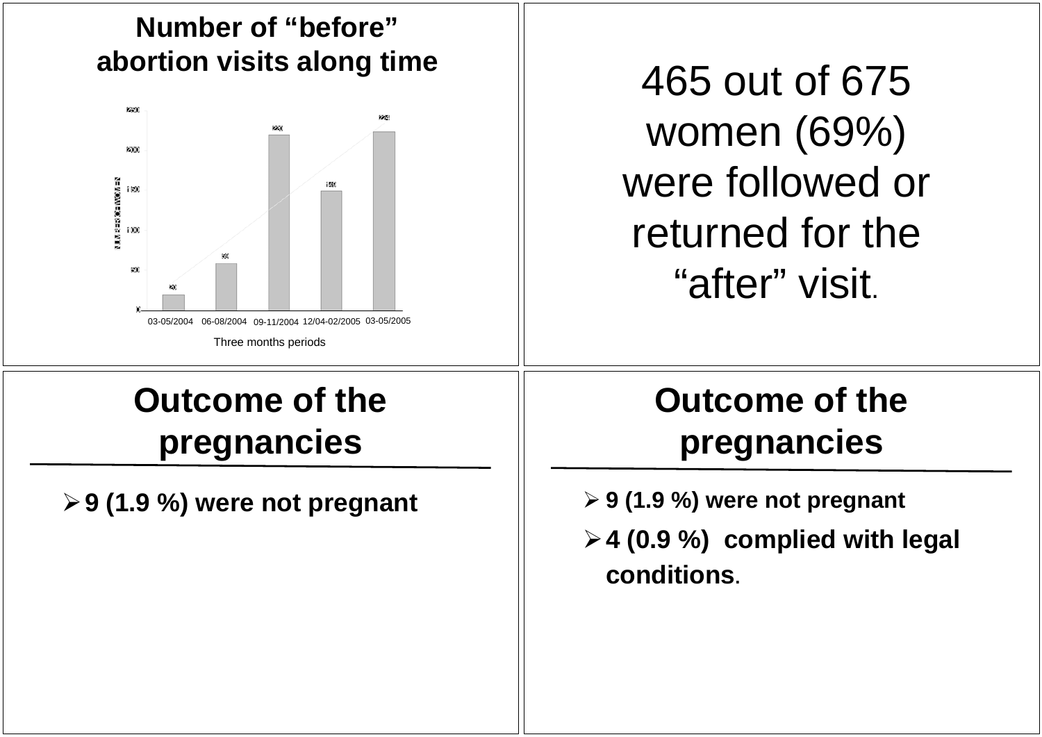



465 out of 675 women (69%) were followed or returned for the "after" visit.

## **Outcome of the pregnancies**

-**9 (1.9 %) were not pregnant**

### **Outcome of the pregnancies**

- **9 (1.9 %) were not pregnant**

-**4 (0.9 %) complied with legal conditions.**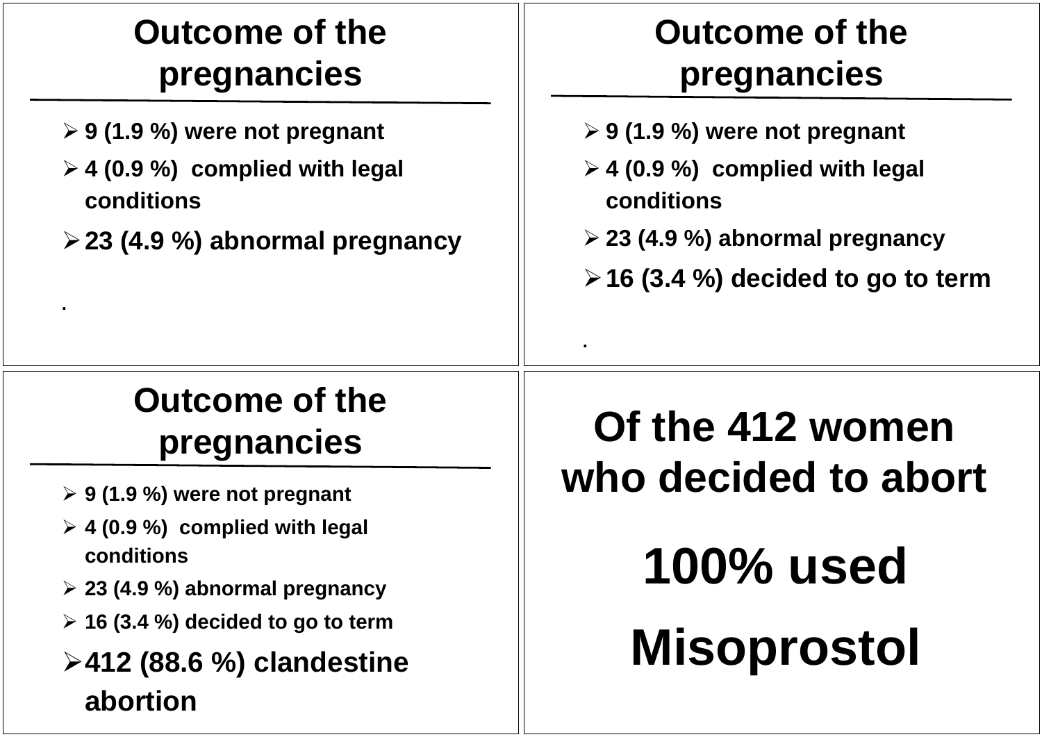## **Outcome of the pregnancies**

- **9 (1.9 %) were not pregnant**
- **4 (0.9 %) complied with legal conditions**
- -**23 (4.9 %) abnormal pregnancy**

### **Outcome of the pregnancies**

- **9 (1.9 %) were not pregnant**
- **4 (0.9 %) complied with legal conditions**

**.**

- **23 (4.9 %) abnormal pregnancy**
- -**16 (3.4 %) decided to go to term**

# **Outcome of the pregnancies**

- **9 (1.9 %) were not pregnant**

**.**

- **4 (0.9 %) complied with legal conditions**
- **23 (4.9 %) abnormal pregnancy**
- **16 (3.4 %) decided to go to term**

-**412 (88.6 %) clandestine abortion**

# **Of the 412 women who decided to abort**

**100% used**

# **Misoprostol**